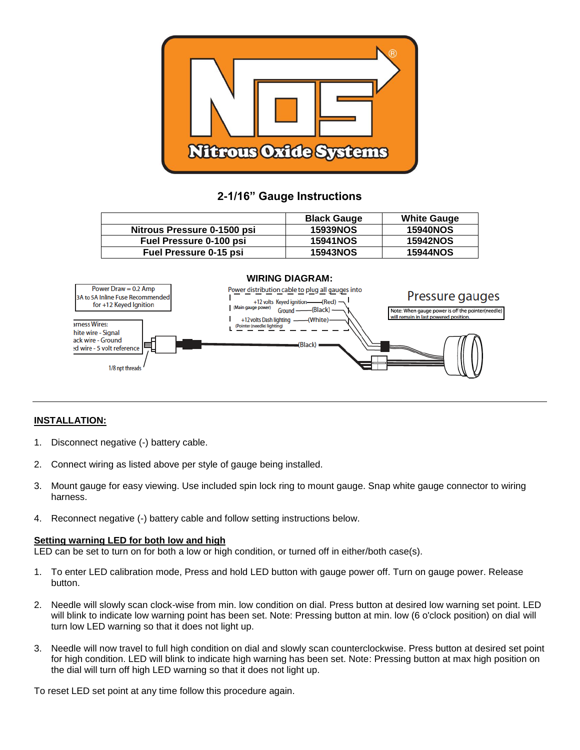

# **2-1/16" Gauge Instructions**

|                                | <b>Black Gauge</b> | <b>White Gauge</b> |
|--------------------------------|--------------------|--------------------|
| Nitrous Pressure 0-1500 psi    | <b>15939NOS</b>    | <b>15940NOS</b>    |
| <b>Fuel Pressure 0-100 psi</b> | <b>15941NOS</b>    | <b>15942NOS</b>    |
| <b>Fuel Pressure 0-15 psi</b>  | <b>15943NOS</b>    | <b>15944NOS</b>    |



## **INSTALLATION:**

- 1. Disconnect negative (-) battery cable.
- 2. Connect wiring as listed above per style of gauge being installed.
- 3. Mount gauge for easy viewing. Use included spin lock ring to mount gauge. Snap white gauge connector to wiring harness.
- 4. Reconnect negative (-) battery cable and follow setting instructions below.

#### **Setting warning LED for both low and high**

LED can be set to turn on for both a low or high condition, or turned off in either/both case(s).

- 1. To enter LED calibration mode, Press and hold LED button with gauge power off. Turn on gauge power. Release button.
- 2. Needle will slowly scan clock-wise from min. low condition on dial. Press button at desired low warning set point. LED will blink to indicate low warning point has been set. Note: Pressing button at min. low (6 o'clock position) on dial will turn low LED warning so that it does not light up.
- 3. Needle will now travel to full high condition on dial and slowly scan counterclockwise. Press button at desired set point for high condition. LED will blink to indicate high warning has been set. Note: Pressing button at max high position on the dial will turn off high LED warning so that it does not light up.

To reset LED set point at any time follow this procedure again.